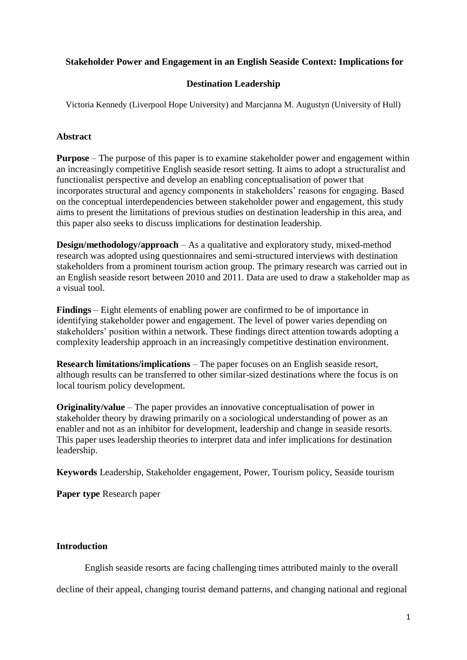# **Stakeholder Power and Engagement in an English Seaside Context: Implications for**

## **Destination Leadership**

Victoria Kennedy (Liverpool Hope University) and Marcjanna M. Augustyn (University of Hull)

## **Abstract**

**Purpose** – The purpose of this paper is to examine stakeholder power and engagement within an increasingly competitive English seaside resort setting. It aims to adopt a structuralist and functionalist perspective and develop an enabling conceptualisation of power that incorporates structural and agency components in stakeholders' reasons for engaging. Based on the conceptual interdependencies between stakeholder power and engagement, this study aims to present the limitations of previous studies on destination leadership in this area, and this paper also seeks to discuss implications for destination leadership.

**Design/methodology/approach** – As a qualitative and exploratory study, mixed-method research was adopted using questionnaires and semi-structured interviews with destination stakeholders from a prominent tourism action group. The primary research was carried out in an English seaside resort between 2010 and 2011. Data are used to draw a stakeholder map as a visual tool.

**Findings** – Eight elements of enabling power are confirmed to be of importance in identifying stakeholder power and engagement. The level of power varies depending on stakeholders' position within a network. These findings direct attention towards adopting a complexity leadership approach in an increasingly competitive destination environment.

**Research limitations/implications** – The paper focuses on an English seaside resort, although results can be transferred to other similar-sized destinations where the focus is on local tourism policy development.

**Originality/value** – The paper provides an innovative conceptualisation of power in stakeholder theory by drawing primarily on a sociological understanding of power as an enabler and not as an inhibitor for development, leadership and change in seaside resorts. This paper uses leadership theories to interpret data and infer implications for destination leadership.

**Keywords** Leadership, Stakeholder engagement, Power, Tourism policy, Seaside tourism

**Paper type** Research paper

## **Introduction**

English seaside resorts are facing challenging times attributed mainly to the overall

decline of their appeal, changing tourist demand patterns, and changing national and regional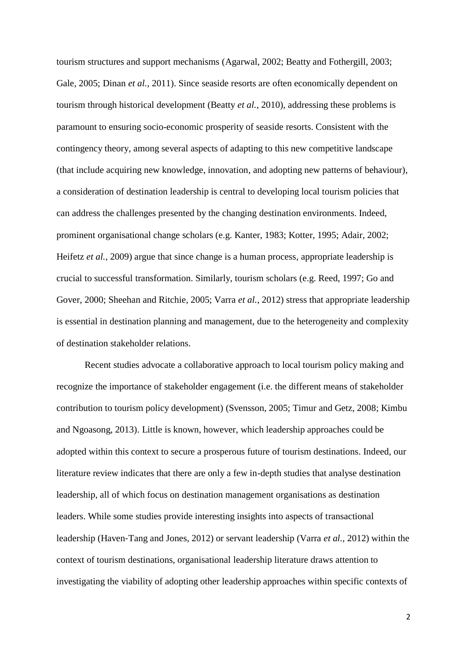tourism structures and support mechanisms (Agarwal, 2002; Beatty and Fothergill, 2003; Gale, 2005; Dinan *et al.*, 2011). Since seaside resorts are often economically dependent on tourism through historical development (Beatty *et al.*, 2010), addressing these problems is paramount to ensuring socio-economic prosperity of seaside resorts. Consistent with the contingency theory, among several aspects of adapting to this new competitive landscape (that include acquiring new knowledge, innovation, and adopting new patterns of behaviour), a consideration of destination leadership is central to developing local tourism policies that can address the challenges presented by the changing destination environments. Indeed, prominent organisational change scholars (e.g. Kanter, 1983; Kotter, 1995; Adair, 2002; Heifetz *et al.*, 2009) argue that since change is a human process, appropriate leadership is crucial to successful transformation. Similarly, tourism scholars (e.g. Reed, 1997; Go and Gover, 2000; Sheehan and Ritchie, 2005; Varra *et al.*, 2012) stress that appropriate leadership is essential in destination planning and management, due to the heterogeneity and complexity of destination stakeholder relations.

Recent studies advocate a collaborative approach to local tourism policy making and recognize the importance of stakeholder engagement (i.e. the different means of stakeholder contribution to tourism policy development) (Svensson, 2005; Timur and Getz, 2008; Kimbu and Ngoasong, 2013). Little is known, however, which leadership approaches could be adopted within this context to secure a prosperous future of tourism destinations. Indeed, our literature review indicates that there are only a few in-depth studies that analyse destination leadership, all of which focus on destination management organisations as destination leaders. While some studies provide interesting insights into aspects of transactional leadership (Haven‐Tang and Jones, 2012) or servant leadership (Varra *et al.,* 2012) within the context of tourism destinations, organisational leadership literature draws attention to investigating the viability of adopting other leadership approaches within specific contexts of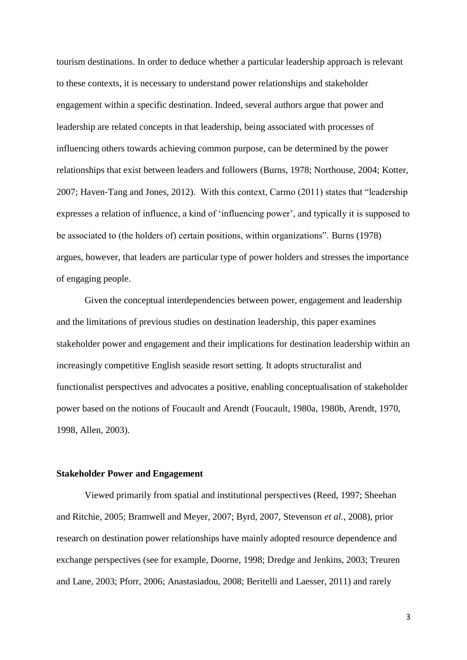tourism destinations. In order to deduce whether a particular leadership approach is relevant to these contexts, it is necessary to understand power relationships and stakeholder engagement within a specific destination. Indeed, several authors argue that power and leadership are related concepts in that leadership, being associated with processes of influencing others towards achieving common purpose, can be determined by the power relationships that exist between leaders and followers (Burns, 1978; Northouse, 2004; Kotter, 2007; Haven‐Tang and Jones, 2012). With this context, Carmo (2011) states that "leadership expresses a relation of influence, a kind of 'influencing power', and typically it is supposed to be associated to (the holders of) certain positions, within organizations". Burns (1978) argues, however, that leaders are particular type of power holders and stresses the importance of engaging people.

Given the conceptual interdependencies between power, engagement and leadership and the limitations of previous studies on destination leadership, this paper examines stakeholder power and engagement and their implications for destination leadership within an increasingly competitive English seaside resort setting. It adopts structuralist and functionalist perspectives and advocates a positive, enabling conceptualisation of stakeholder power based on the notions of Foucault and Arendt (Foucault, 1980a, 1980b, Arendt, 1970, 1998, Allen, 2003).

#### **Stakeholder Power and Engagement**

Viewed primarily from spatial and institutional perspectives (Reed, 1997; Sheehan and Ritchie, 2005; Bramwell and Meyer, 2007; Byrd, 2007, Stevenson *et al.*, 2008), prior research on destination power relationships have mainly adopted resource dependence and exchange perspectives (see for example, Doorne, 1998; Dredge and Jenkins, 2003; Treuren and Lane, 2003; Pforr, 2006; Anastasiadou, 2008; Beritelli and Laesser, 2011) and rarely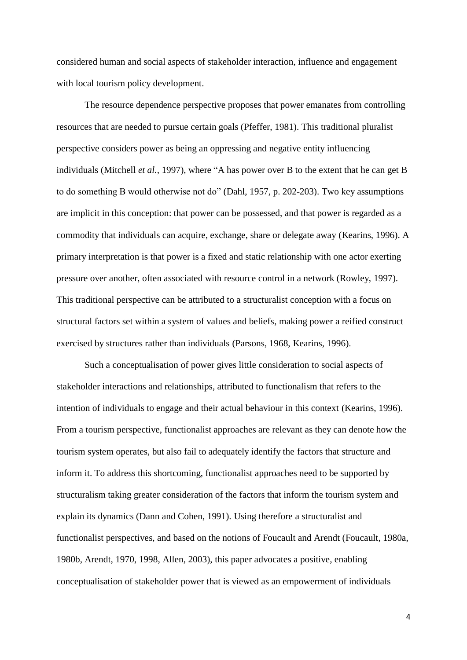considered human and social aspects of stakeholder interaction, influence and engagement with local tourism policy development.

The resource dependence perspective proposes that power emanates from controlling resources that are needed to pursue certain goals (Pfeffer, 1981). This traditional pluralist perspective considers power as being an oppressing and negative entity influencing individuals (Mitchell *et al.*, 1997), where "A has power over B to the extent that he can get B to do something B would otherwise not do" (Dahl, 1957, p. 202-203). Two key assumptions are implicit in this conception: that power can be possessed, and that power is regarded as a commodity that individuals can acquire, exchange, share or delegate away (Kearins, 1996). A primary interpretation is that power is a fixed and static relationship with one actor exerting pressure over another, often associated with resource control in a network (Rowley, 1997). This traditional perspective can be attributed to a structuralist conception with a focus on structural factors set within a system of values and beliefs, making power a reified construct exercised by structures rather than individuals (Parsons, 1968, Kearins, 1996).

Such a conceptualisation of power gives little consideration to social aspects of stakeholder interactions and relationships, attributed to functionalism that refers to the intention of individuals to engage and their actual behaviour in this context (Kearins, 1996). From a tourism perspective, functionalist approaches are relevant as they can denote how the tourism system operates, but also fail to adequately identify the factors that structure and inform it. To address this shortcoming, functionalist approaches need to be supported by structuralism taking greater consideration of the factors that inform the tourism system and explain its dynamics (Dann and Cohen, 1991). Using therefore a structuralist and functionalist perspectives, and based on the notions of Foucault and Arendt (Foucault, 1980a, 1980b, Arendt, 1970, 1998, Allen, 2003), this paper advocates a positive, enabling conceptualisation of stakeholder power that is viewed as an empowerment of individuals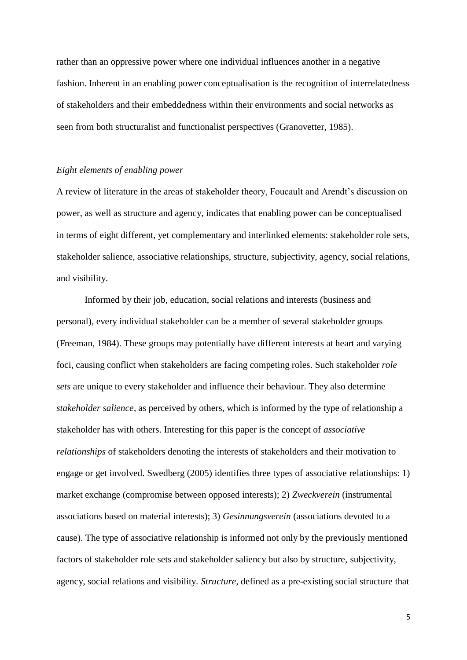rather than an oppressive power where one individual influences another in a negative fashion. Inherent in an enabling power conceptualisation is the recognition of interrelatedness of stakeholders and their embeddedness within their environments and social networks as seen from both structuralist and functionalist perspectives (Granovetter, 1985).

## *Eight elements of enabling power*

A review of literature in the areas of stakeholder theory, Foucault and Arendt's discussion on power, as well as structure and agency, indicates that enabling power can be conceptualised in terms of eight different, yet complementary and interlinked elements: stakeholder role sets, stakeholder salience, associative relationships, structure, subjectivity, agency, social relations, and visibility.

Informed by their job, education, social relations and interests (business and personal), every individual stakeholder can be a member of several stakeholder groups (Freeman, 1984). These groups may potentially have different interests at heart and varying foci, causing conflict when stakeholders are facing competing roles. Such stakeholder *role sets* are unique to every stakeholder and influence their behaviour. They also determine *stakeholder salience*, as perceived by others, which is informed by the type of relationship a stakeholder has with others. Interesting for this paper is the concept of *associative relationships* of stakeholders denoting the interests of stakeholders and their motivation to engage or get involved. Swedberg (2005) identifies three types of associative relationships: 1) market exchange (compromise between opposed interests); 2) *Zweckverein* (instrumental associations based on material interests); 3) *Gesinnungsverein* (associations devoted to a cause). The type of associative relationship is informed not only by the previously mentioned factors of stakeholder role sets and stakeholder saliency but also by structure, subjectivity, agency, social relations and visibility. *Structure,* defined as a pre-existing social structure that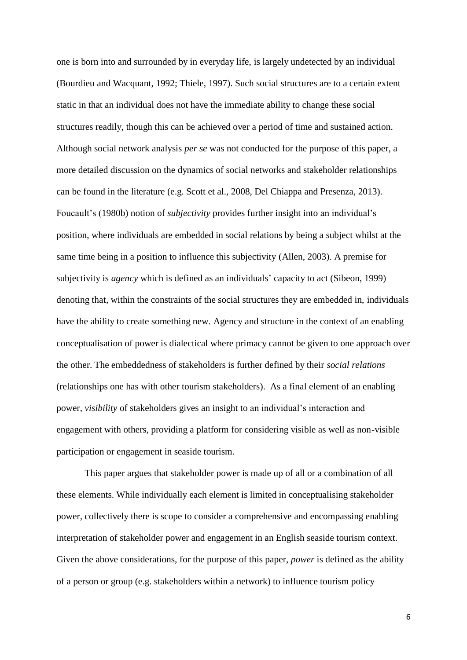one is born into and surrounded by in everyday life, is largely undetected by an individual (Bourdieu and Wacquant, 1992; Thiele, 1997). Such social structures are to a certain extent static in that an individual does not have the immediate ability to change these social structures readily, though this can be achieved over a period of time and sustained action. Although social network analysis *per se* was not conducted for the purpose of this paper, a more detailed discussion on the dynamics of social networks and stakeholder relationships can be found in the literature (e.g. Scott et al., 2008, Del Chiappa and Presenza, 2013). Foucault's (1980b) notion of *subjectivity* provides further insight into an individual's position, where individuals are embedded in social relations by being a subject whilst at the same time being in a position to influence this subjectivity (Allen, 2003). A premise for subjectivity is *agency* which is defined as an individuals' capacity to act (Sibeon, 1999) denoting that, within the constraints of the social structures they are embedded in, individuals have the ability to create something new. Agency and structure in the context of an enabling conceptualisation of power is dialectical where primacy cannot be given to one approach over the other. The embeddedness of stakeholders is further defined by their *social relations* (relationships one has with other tourism stakeholders). As a final element of an enabling power, *visibility* of stakeholders gives an insight to an individual's interaction and engagement with others, providing a platform for considering visible as well as non-visible participation or engagement in seaside tourism.

This paper argues that stakeholder power is made up of all or a combination of all these elements. While individually each element is limited in conceptualising stakeholder power, collectively there is scope to consider a comprehensive and encompassing enabling interpretation of stakeholder power and engagement in an English seaside tourism context. Given the above considerations, for the purpose of this paper, *power* is defined as the ability of a person or group (e.g. stakeholders within a network) to influence tourism policy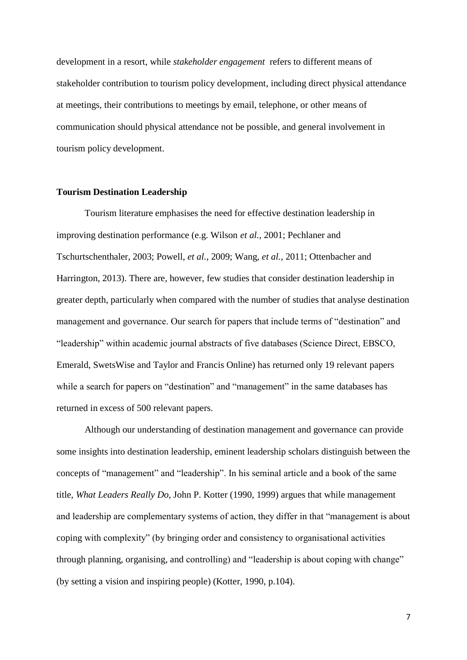development in a resort, while *stakeholder engagement* refers to different means of stakeholder contribution to tourism policy development, including direct physical attendance at meetings, their contributions to meetings by email, telephone, or other means of communication should physical attendance not be possible, and general involvement in tourism policy development.

#### **Tourism Destination Leadership**

Tourism literature emphasises the need for effective destination leadership in improving destination performance (e.g. Wilson *et al.*, 2001; Pechlaner and Tschurtschenthaler, 2003; Powell, *et al.*, 2009; Wang, *et al.*, 2011; Ottenbacher and Harrington, 2013). There are, however, few studies that consider destination leadership in greater depth, particularly when compared with the number of studies that analyse destination management and governance. Our search for papers that include terms of "destination" and "leadership" within academic journal abstracts of five databases (Science Direct, EBSCO, Emerald, SwetsWise and Taylor and Francis Online) has returned only 19 relevant papers while a search for papers on "destination" and "management" in the same databases has returned in excess of 500 relevant papers.

Although our understanding of destination management and governance can provide some insights into destination leadership, eminent leadership scholars distinguish between the concepts of "management" and "leadership". In his seminal article and a book of the same title, *What Leaders Really Do,* John P. Kotter (1990, 1999) argues that while management and leadership are complementary systems of action, they differ in that "management is about coping with complexity" (by bringing order and consistency to organisational activities through planning, organising, and controlling) and "leadership is about coping with change" (by setting a vision and inspiring people) (Kotter, 1990, p.104).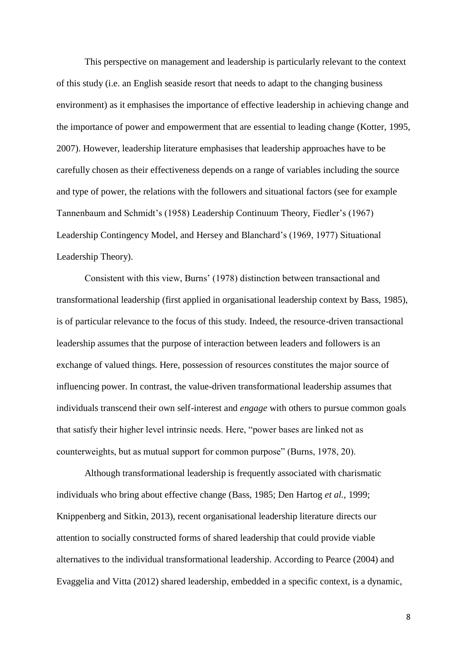This perspective on management and leadership is particularly relevant to the context of this study (i.e. an English seaside resort that needs to adapt to the changing business environment) as it emphasises the importance of effective leadership in achieving change and the importance of power and empowerment that are essential to leading change (Kotter, 1995, 2007). However, leadership literature emphasises that leadership approaches have to be carefully chosen as their effectiveness depends on a range of variables including the source and type of power, the relations with the followers and situational factors (see for example Tannenbaum and Schmidt's (1958) Leadership Continuum Theory, Fiedler's (1967) Leadership Contingency Model, and Hersey and Blanchard's (1969, 1977) Situational Leadership Theory).

Consistent with this view, Burns' (1978) distinction between transactional and transformational leadership (first applied in organisational leadership context by Bass, 1985), is of particular relevance to the focus of this study. Indeed, the resource-driven transactional leadership assumes that the purpose of interaction between leaders and followers is an exchange of valued things. Here, possession of resources constitutes the major source of influencing power. In contrast, the value-driven transformational leadership assumes that individuals transcend their own self-interest and *engage* with others to pursue common goals that satisfy their higher level intrinsic needs. Here, "power bases are linked not as counterweights, but as mutual support for common purpose" (Burns, 1978, 20).

Although transformational leadership is frequently associated with charismatic individuals who bring about effective change (Bass, 1985; Den Hartog *et al.,* 1999; Knippenberg and Sitkin, 2013), recent organisational leadership literature directs our attention to socially constructed forms of shared leadership that could provide viable alternatives to the individual transformational leadership. According to Pearce (2004) and Evaggelia and Vitta (2012) shared leadership, embedded in a specific context, is a dynamic,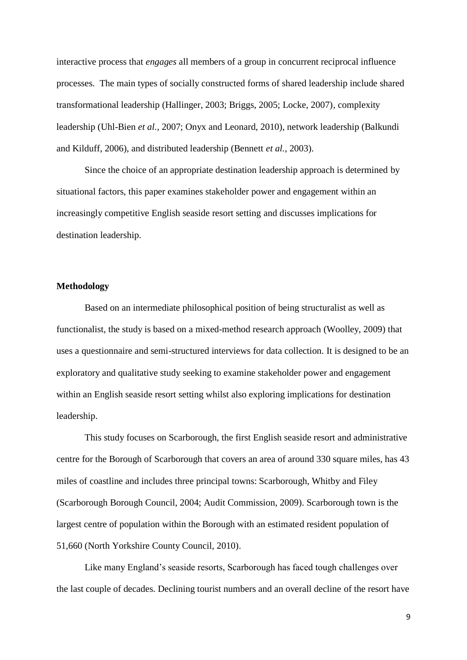interactive process that *engages* all members of a group in concurrent reciprocal influence processes. The main types of socially constructed forms of shared leadership include shared transformational leadership (Hallinger, 2003; Briggs, 2005; Locke, 2007), complexity leadership (Uhl-Bien *et al.*, 2007; Onyx and Leonard, 2010), network leadership (Balkundi and Kilduff, 2006), and distributed leadership (Bennett *et al.*, 2003).

Since the choice of an appropriate destination leadership approach is determined by situational factors, this paper examines stakeholder power and engagement within an increasingly competitive English seaside resort setting and discusses implications for destination leadership.

### **Methodology**

Based on an intermediate philosophical position of being structuralist as well as functionalist, the study is based on a mixed-method research approach (Woolley, 2009) that uses a questionnaire and semi-structured interviews for data collection. It is designed to be an exploratory and qualitative study seeking to examine stakeholder power and engagement within an English seaside resort setting whilst also exploring implications for destination leadership.

This study focuses on Scarborough, the first English seaside resort and administrative centre for the Borough of Scarborough that covers an area of around 330 square miles, has 43 miles of coastline and includes three principal towns: Scarborough, Whitby and Filey (Scarborough Borough Council, 2004; Audit Commission, 2009). Scarborough town is the largest centre of population within the Borough with an estimated resident population of 51,660 (North Yorkshire County Council, 2010).

Like many England's seaside resorts, Scarborough has faced tough challenges over the last couple of decades. Declining tourist numbers and an overall decline of the resort have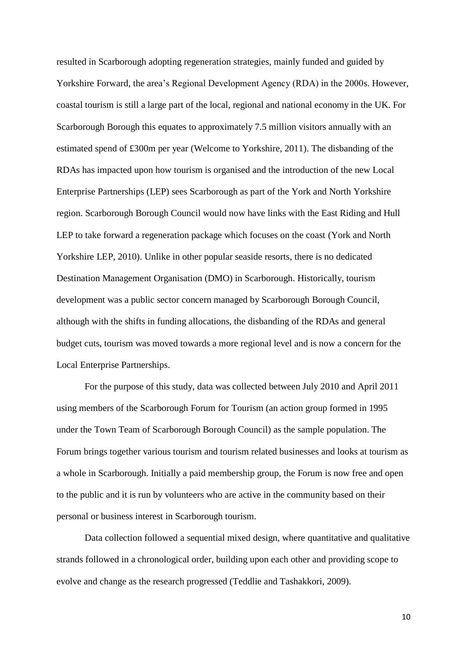resulted in Scarborough adopting regeneration strategies, mainly funded and guided by Yorkshire Forward, the area's Regional Development Agency (RDA) in the 2000s. However, coastal tourism is still a large part of the local, regional and national economy in the UK. For Scarborough Borough this equates to approximately 7.5 million visitors annually with an estimated spend of £300m per year (Welcome to Yorkshire, 2011). The disbanding of the RDAs has impacted upon how tourism is organised and the introduction of the new Local Enterprise Partnerships (LEP) sees Scarborough as part of the York and North Yorkshire region. Scarborough Borough Council would now have links with the East Riding and Hull LEP to take forward a regeneration package which focuses on the coast (York and North Yorkshire LEP, 2010). Unlike in other popular seaside resorts, there is no dedicated Destination Management Organisation (DMO) in Scarborough. Historically, tourism development was a public sector concern managed by Scarborough Borough Council, although with the shifts in funding allocations, the disbanding of the RDAs and general budget cuts, tourism was moved towards a more regional level and is now a concern for the Local Enterprise Partnerships.

For the purpose of this study, data was collected between July 2010 and April 2011 using members of the Scarborough Forum for Tourism (an action group formed in 1995 under the Town Team of Scarborough Borough Council) as the sample population. The Forum brings together various tourism and tourism related businesses and looks at tourism as a whole in Scarborough. Initially a paid membership group, the Forum is now free and open to the public and it is run by volunteers who are active in the community based on their personal or business interest in Scarborough tourism.

Data collection followed a sequential mixed design, where quantitative and qualitative strands followed in a chronological order, building upon each other and providing scope to evolve and change as the research progressed (Teddlie and Tashakkori, 2009).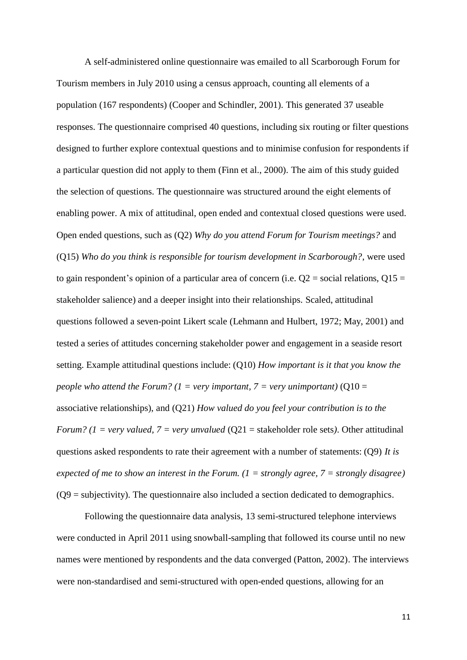A self-administered online questionnaire was emailed to all Scarborough Forum for Tourism members in July 2010 using a census approach, counting all elements of a population (167 respondents) (Cooper and Schindler, 2001). This generated 37 useable responses. The questionnaire comprised 40 questions, including six routing or filter questions designed to further explore contextual questions and to minimise confusion for respondents if a particular question did not apply to them (Finn et al., 2000). The aim of this study guided the selection of questions. The questionnaire was structured around the eight elements of enabling power. A mix of attitudinal, open ended and contextual closed questions were used. Open ended questions, such as (Q2) *Why do you attend Forum for Tourism meetings?* and (Q15) *Who do you think is responsible for tourism development in Scarborough?*, were used to gain respondent's opinion of a particular area of concern (i.e.  $Q2$  = social relations,  $Q15$  = stakeholder salience) and a deeper insight into their relationships. Scaled, attitudinal questions followed a seven-point Likert scale (Lehmann and Hulbert, 1972; May, 2001) and tested a series of attitudes concerning stakeholder power and engagement in a seaside resort setting. Example attitudinal questions include: (Q10) *How important is it that you know the people who attend the Forum?* ( $1 = \text{very important}$ ,  $7 = \text{very unimportant}$ ) ( $Q10 =$ associative relationships), and (Q21) *How valued do you feel your contribution is to the Forum?* ( $1 = very$  *valued,*  $7 = very$  *unvalued* ( $Q21 =$  stakeholder role sets). Other attitudinal questions asked respondents to rate their agreement with a number of statements: (Q9) *It is expected of me to show an interest in the Forum. (1 = strongly agree, 7 = strongly disagree)* (Q9 = subjectivity). The questionnaire also included a section dedicated to demographics.

Following the questionnaire data analysis, 13 semi-structured telephone interviews were conducted in April 2011 using snowball-sampling that followed its course until no new names were mentioned by respondents and the data converged (Patton, 2002). The interviews were non-standardised and semi-structured with open-ended questions, allowing for an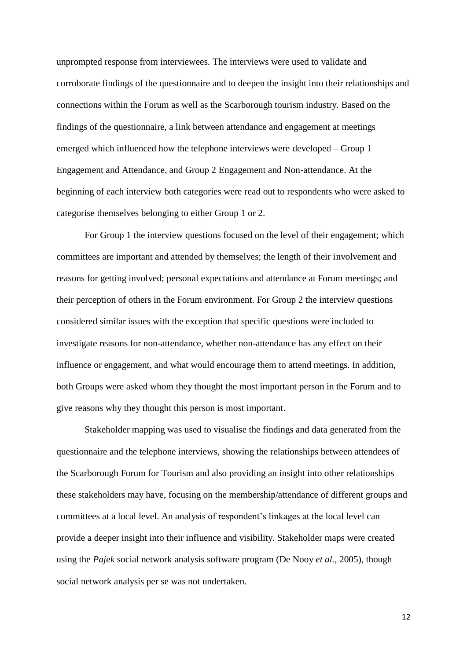unprompted response from interviewees. The interviews were used to validate and corroborate findings of the questionnaire and to deepen the insight into their relationships and connections within the Forum as well as the Scarborough tourism industry. Based on the findings of the questionnaire, a link between attendance and engagement at meetings emerged which influenced how the telephone interviews were developed – Group 1 Engagement and Attendance, and Group 2 Engagement and Non-attendance. At the beginning of each interview both categories were read out to respondents who were asked to categorise themselves belonging to either Group 1 or 2.

For Group 1 the interview questions focused on the level of their engagement; which committees are important and attended by themselves; the length of their involvement and reasons for getting involved; personal expectations and attendance at Forum meetings; and their perception of others in the Forum environment. For Group 2 the interview questions considered similar issues with the exception that specific questions were included to investigate reasons for non-attendance, whether non-attendance has any effect on their influence or engagement, and what would encourage them to attend meetings. In addition, both Groups were asked whom they thought the most important person in the Forum and to give reasons why they thought this person is most important.

Stakeholder mapping was used to visualise the findings and data generated from the questionnaire and the telephone interviews, showing the relationships between attendees of the Scarborough Forum for Tourism and also providing an insight into other relationships these stakeholders may have, focusing on the membership/attendance of different groups and committees at a local level. An analysis of respondent's linkages at the local level can provide a deeper insight into their influence and visibility. Stakeholder maps were created using the *Pajek* social network analysis software program (De Nooy *et al.*, 2005), though social network analysis per se was not undertaken.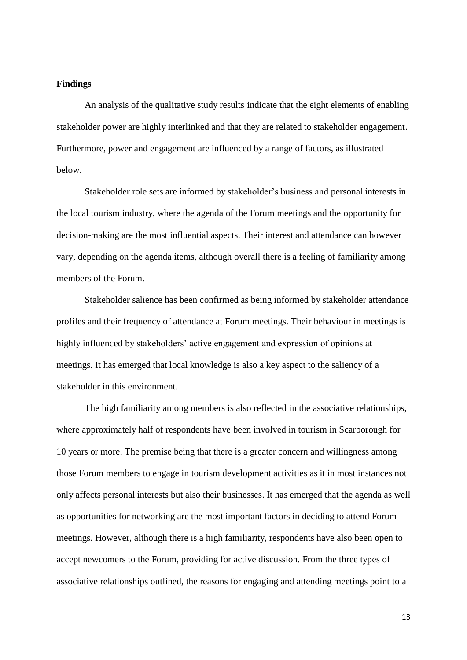#### **Findings**

An analysis of the qualitative study results indicate that the eight elements of enabling stakeholder power are highly interlinked and that they are related to stakeholder engagement. Furthermore, power and engagement are influenced by a range of factors, as illustrated below.

Stakeholder role sets are informed by stakeholder's business and personal interests in the local tourism industry, where the agenda of the Forum meetings and the opportunity for decision-making are the most influential aspects. Their interest and attendance can however vary, depending on the agenda items, although overall there is a feeling of familiarity among members of the Forum.

Stakeholder salience has been confirmed as being informed by stakeholder attendance profiles and their frequency of attendance at Forum meetings. Their behaviour in meetings is highly influenced by stakeholders' active engagement and expression of opinions at meetings. It has emerged that local knowledge is also a key aspect to the saliency of a stakeholder in this environment.

The high familiarity among members is also reflected in the associative relationships, where approximately half of respondents have been involved in tourism in Scarborough for 10 years or more. The premise being that there is a greater concern and willingness among those Forum members to engage in tourism development activities as it in most instances not only affects personal interests but also their businesses. It has emerged that the agenda as well as opportunities for networking are the most important factors in deciding to attend Forum meetings. However, although there is a high familiarity, respondents have also been open to accept newcomers to the Forum, providing for active discussion. From the three types of associative relationships outlined, the reasons for engaging and attending meetings point to a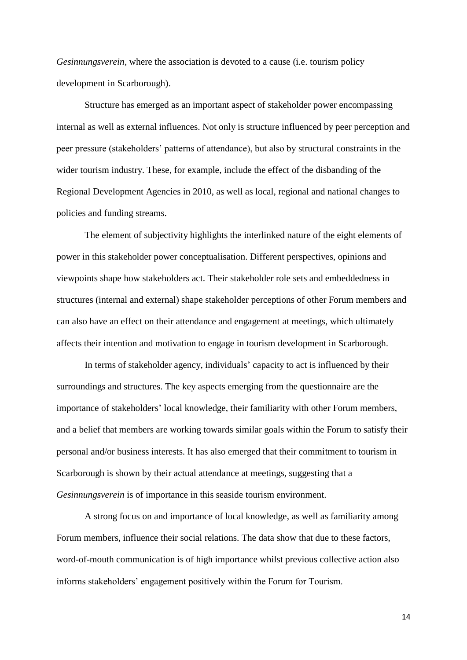*Gesinnungsverein*, where the association is devoted to a cause (i.e. tourism policy development in Scarborough).

Structure has emerged as an important aspect of stakeholder power encompassing internal as well as external influences. Not only is structure influenced by peer perception and peer pressure (stakeholders' patterns of attendance), but also by structural constraints in the wider tourism industry. These, for example, include the effect of the disbanding of the Regional Development Agencies in 2010, as well as local, regional and national changes to policies and funding streams.

The element of subjectivity highlights the interlinked nature of the eight elements of power in this stakeholder power conceptualisation. Different perspectives, opinions and viewpoints shape how stakeholders act. Their stakeholder role sets and embeddedness in structures (internal and external) shape stakeholder perceptions of other Forum members and can also have an effect on their attendance and engagement at meetings, which ultimately affects their intention and motivation to engage in tourism development in Scarborough.

In terms of stakeholder agency, individuals' capacity to act is influenced by their surroundings and structures. The key aspects emerging from the questionnaire are the importance of stakeholders' local knowledge, their familiarity with other Forum members, and a belief that members are working towards similar goals within the Forum to satisfy their personal and/or business interests. It has also emerged that their commitment to tourism in Scarborough is shown by their actual attendance at meetings, suggesting that a *Gesinnungsverein* is of importance in this seaside tourism environment.

A strong focus on and importance of local knowledge, as well as familiarity among Forum members, influence their social relations. The data show that due to these factors, word-of-mouth communication is of high importance whilst previous collective action also informs stakeholders' engagement positively within the Forum for Tourism.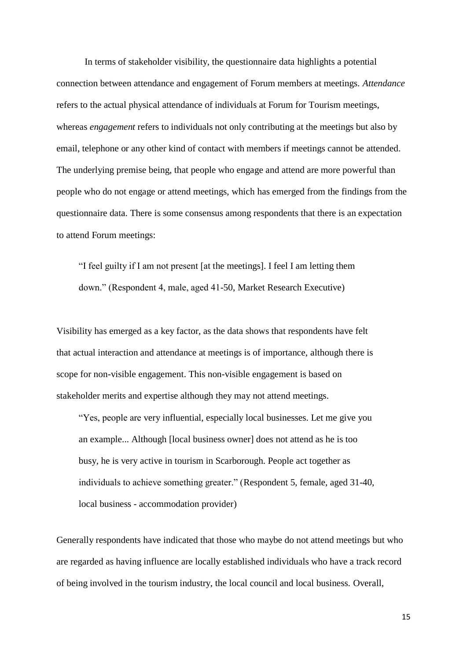In terms of stakeholder visibility, the questionnaire data highlights a potential connection between attendance and engagement of Forum members at meetings. *Attendance* refers to the actual physical attendance of individuals at Forum for Tourism meetings, whereas *engagement* refers to individuals not only contributing at the meetings but also by email, telephone or any other kind of contact with members if meetings cannot be attended. The underlying premise being, that people who engage and attend are more powerful than people who do not engage or attend meetings, which has emerged from the findings from the questionnaire data. There is some consensus among respondents that there is an expectation to attend Forum meetings:

"I feel guilty if I am not present [at the meetings]. I feel I am letting them down." (Respondent 4, male, aged 41-50, Market Research Executive)

Visibility has emerged as a key factor, as the data shows that respondents have felt that actual interaction and attendance at meetings is of importance, although there is scope for non-visible engagement. This non-visible engagement is based on stakeholder merits and expertise although they may not attend meetings.

"Yes, people are very influential, especially local businesses. Let me give you an example... Although [local business owner] does not attend as he is too busy, he is very active in tourism in Scarborough. People act together as individuals to achieve something greater." (Respondent 5, female, aged 31-40, local business - accommodation provider)

Generally respondents have indicated that those who maybe do not attend meetings but who are regarded as having influence are locally established individuals who have a track record of being involved in the tourism industry, the local council and local business. Overall,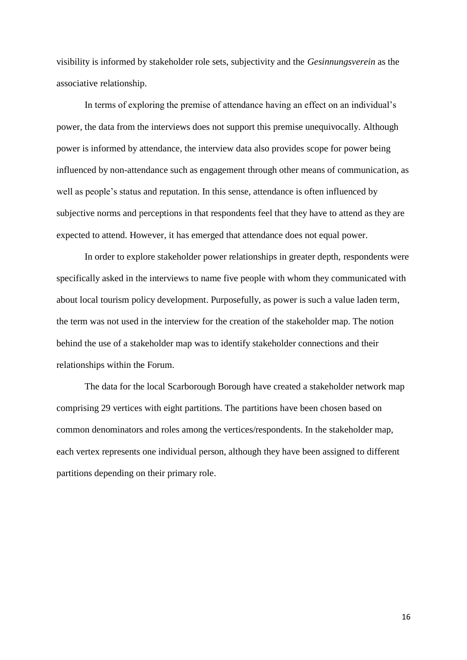visibility is informed by stakeholder role sets, subjectivity and the *Gesinnungsverein* as the associative relationship.

In terms of exploring the premise of attendance having an effect on an individual's power, the data from the interviews does not support this premise unequivocally. Although power is informed by attendance, the interview data also provides scope for power being influenced by non-attendance such as engagement through other means of communication, as well as people's status and reputation. In this sense, attendance is often influenced by subjective norms and perceptions in that respondents feel that they have to attend as they are expected to attend. However, it has emerged that attendance does not equal power.

In order to explore stakeholder power relationships in greater depth, respondents were specifically asked in the interviews to name five people with whom they communicated with about local tourism policy development. Purposefully, as power is such a value laden term, the term was not used in the interview for the creation of the stakeholder map. The notion behind the use of a stakeholder map was to identify stakeholder connections and their relationships within the Forum.

The data for the local Scarborough Borough have created a stakeholder network map comprising 29 vertices with eight partitions. The partitions have been chosen based on common denominators and roles among the vertices/respondents. In the stakeholder map, each vertex represents one individual person, although they have been assigned to different partitions depending on their primary role.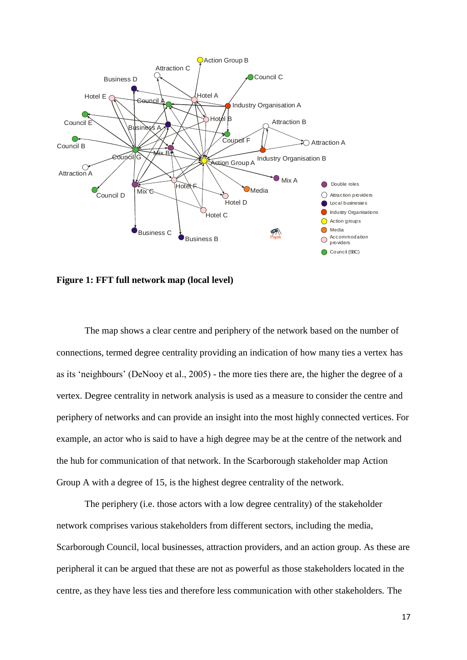

**Figure 1: FFT full network map (local level)**

The map shows a clear centre and periphery of the network based on the number of connections, termed degree centrality providing an indication of how many ties a vertex has as its 'neighbours' (DeNooy et al., 2005) - the more ties there are, the higher the degree of a vertex. Degree centrality in network analysis is used as a measure to consider the centre and periphery of networks and can provide an insight into the most highly connected vertices. For example, an actor who is said to have a high degree may be at the centre of the network and the hub for communication of that network. In the Scarborough stakeholder map Action Group A with a degree of 15, is the highest degree centrality of the network.

The periphery (i.e. those actors with a low degree centrality) of the stakeholder network comprises various stakeholders from different sectors, including the media, Scarborough Council, local businesses, attraction providers, and an action group. As these are peripheral it can be argued that these are not as powerful as those stakeholders located in the centre, as they have less ties and therefore less communication with other stakeholders. The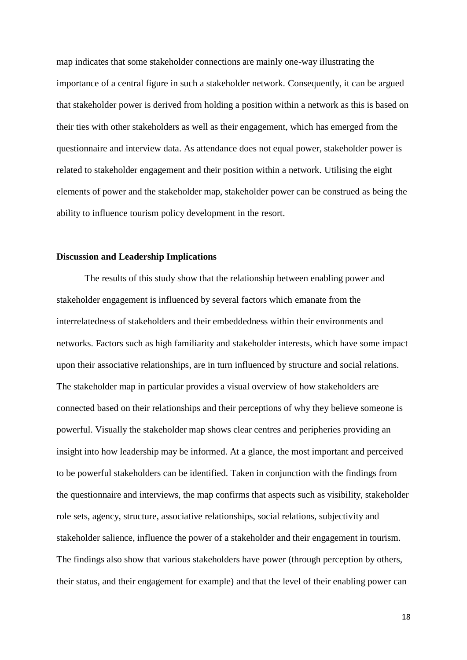map indicates that some stakeholder connections are mainly one-way illustrating the importance of a central figure in such a stakeholder network. Consequently, it can be argued that stakeholder power is derived from holding a position within a network as this is based on their ties with other stakeholders as well as their engagement, which has emerged from the questionnaire and interview data. As attendance does not equal power, stakeholder power is related to stakeholder engagement and their position within a network. Utilising the eight elements of power and the stakeholder map, stakeholder power can be construed as being the ability to influence tourism policy development in the resort.

#### **Discussion and Leadership Implications**

The results of this study show that the relationship between enabling power and stakeholder engagement is influenced by several factors which emanate from the interrelatedness of stakeholders and their embeddedness within their environments and networks. Factors such as high familiarity and stakeholder interests, which have some impact upon their associative relationships, are in turn influenced by structure and social relations. The stakeholder map in particular provides a visual overview of how stakeholders are connected based on their relationships and their perceptions of why they believe someone is powerful. Visually the stakeholder map shows clear centres and peripheries providing an insight into how leadership may be informed. At a glance, the most important and perceived to be powerful stakeholders can be identified. Taken in conjunction with the findings from the questionnaire and interviews, the map confirms that aspects such as visibility, stakeholder role sets, agency, structure, associative relationships, social relations, subjectivity and stakeholder salience, influence the power of a stakeholder and their engagement in tourism. The findings also show that various stakeholders have power (through perception by others, their status, and their engagement for example) and that the level of their enabling power can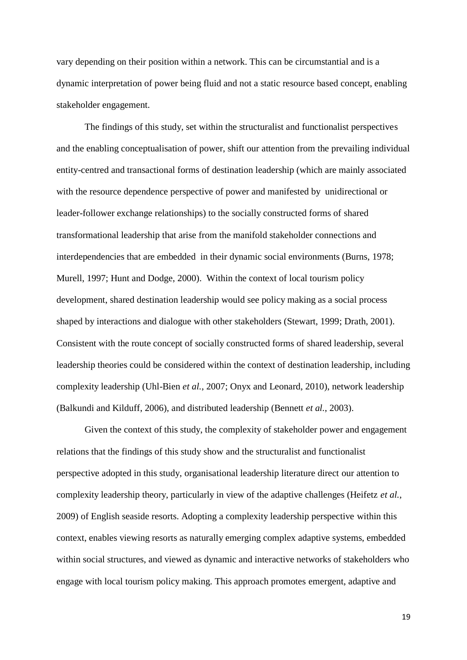vary depending on their position within a network. This can be circumstantial and is a dynamic interpretation of power being fluid and not a static resource based concept, enabling stakeholder engagement.

The findings of this study, set within the structuralist and functionalist perspectives and the enabling conceptualisation of power, shift our attention from the prevailing individual entity-centred and transactional forms of destination leadership (which are mainly associated with the resource dependence perspective of power and manifested by unidirectional or leader-follower exchange relationships) to the socially constructed forms of shared transformational leadership that arise from the manifold stakeholder connections and interdependencies that are embedded in their dynamic social environments (Burns, 1978; Murell, 1997; Hunt and Dodge, 2000). Within the context of local tourism policy development, shared destination leadership would see policy making as a social process shaped by interactions and dialogue with other stakeholders (Stewart, 1999; Drath, 2001). Consistent with the route concept of socially constructed forms of shared leadership, several leadership theories could be considered within the context of destination leadership, including complexity leadership (Uhl-Bien *et al.*, 2007; Onyx and Leonard, 2010), network leadership (Balkundi and Kilduff, 2006), and distributed leadership (Bennett *et al.*, 2003).

Given the context of this study, the complexity of stakeholder power and engagement relations that the findings of this study show and the structuralist and functionalist perspective adopted in this study, organisational leadership literature direct our attention to complexity leadership theory, particularly in view of the adaptive challenges (Heifetz *et al.*, 2009) of English seaside resorts. Adopting a complexity leadership perspective within this context, enables viewing resorts as naturally emerging complex adaptive systems, embedded within social structures, and viewed as dynamic and interactive networks of stakeholders who engage with local tourism policy making. This approach promotes emergent, adaptive and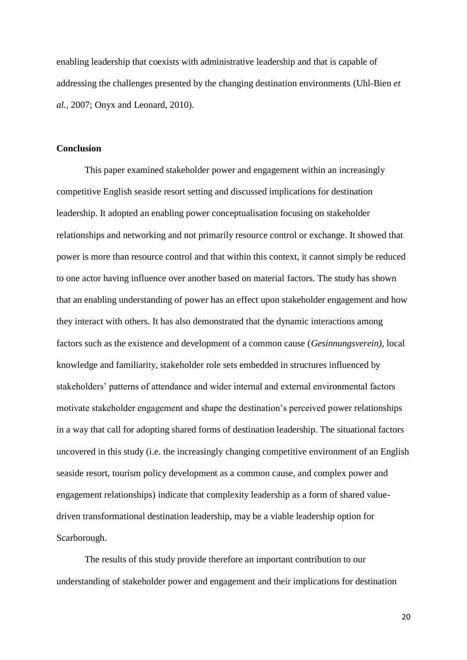enabling leadership that coexists with administrative leadership and that is capable of addressing the challenges presented by the changing destination environments (Uhl-Bien *et al.*, 2007; Onyx and Leonard, 2010).

#### **Conclusion**

This paper examined stakeholder power and engagement within an increasingly competitive English seaside resort setting and discussed implications for destination leadership. It adopted an enabling power conceptualisation focusing on stakeholder relationships and networking and not primarily resource control or exchange. It showed that power is more than resource control and that within this context, it cannot simply be reduced to one actor having influence over another based on material factors. The study has shown that an enabling understanding of power has an effect upon stakeholder engagement and how they interact with others. It has also demonstrated that the dynamic interactions among factors such as the existence and development of a common cause (*Gesinnungsverein)*, local knowledge and familiarity, stakeholder role sets embedded in structures influenced by stakeholders' patterns of attendance and wider internal and external environmental factors motivate stakeholder engagement and shape the destination's perceived power relationships in a way that call for adopting shared forms of destination leadership. The situational factors uncovered in this study (i.e. the increasingly changing competitive environment of an English seaside resort, tourism policy development as a common cause, and complex power and engagement relationships) indicate that complexity leadership as a form of shared valuedriven transformational destination leadership, may be a viable leadership option for Scarborough.

The results of this study provide therefore an important contribution to our understanding of stakeholder power and engagement and their implications for destination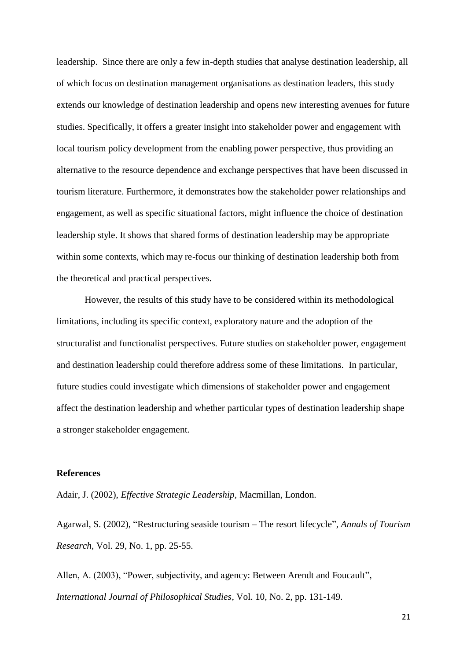leadership. Since there are only a few in-depth studies that analyse destination leadership, all of which focus on destination management organisations as destination leaders, this study extends our knowledge of destination leadership and opens new interesting avenues for future studies. Specifically, it offers a greater insight into stakeholder power and engagement with local tourism policy development from the enabling power perspective, thus providing an alternative to the resource dependence and exchange perspectives that have been discussed in tourism literature. Furthermore, it demonstrates how the stakeholder power relationships and engagement, as well as specific situational factors, might influence the choice of destination leadership style. It shows that shared forms of destination leadership may be appropriate within some contexts, which may re-focus our thinking of destination leadership both from the theoretical and practical perspectives.

However, the results of this study have to be considered within its methodological limitations, including its specific context, exploratory nature and the adoption of the structuralist and functionalist perspectives. Future studies on stakeholder power, engagement and destination leadership could therefore address some of these limitations. In particular, future studies could investigate which dimensions of stakeholder power and engagement affect the destination leadership and whether particular types of destination leadership shape a stronger stakeholder engagement.

### **References**

Adair, J. (2002), *Effective Strategic Leadership,* Macmillan, London.

Agarwal, S. (2002), "Restructuring seaside tourism – The resort lifecycle", *Annals of Tourism Research*, Vol. 29, No. 1, pp. 25-55.

Allen, A. (2003), "Power, subjectivity, and agency: Between Arendt and Foucault", *International Journal of Philosophical Studies*, Vol. 10, No. 2, pp. 131-149.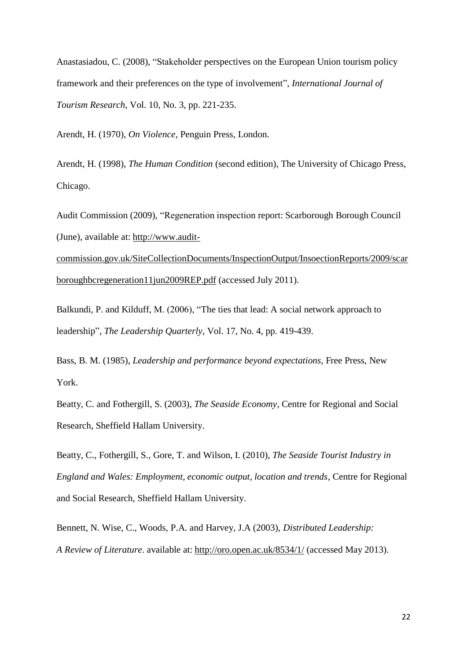Anastasiadou, C. (2008), "Stakeholder perspectives on the European Union tourism policy framework and their preferences on the type of involvement", *International Journal of Tourism Research*, Vol. 10, No. 3, pp. 221-235.

Arendt, H. (1970), *On Violence*, Penguin Press, London.

Arendt, H. (1998), *The Human Condition* (second edition), The University of Chicago Press, Chicago.

Audit Commission (2009), "Regeneration inspection report: Scarborough Borough Council (June), available at: [http://www.audit-](http://www.audit-commission.gov.uk/SiteCollectionDocuments/InspectionOutput/InsoectionReports/2009/scarboroughbcregeneration11jun2009REP.pdf)

[commission.gov.uk/SiteCollectionDocuments/InspectionOutput/InsoectionReports/2009/scar](http://www.audit-commission.gov.uk/SiteCollectionDocuments/InspectionOutput/InsoectionReports/2009/scarboroughbcregeneration11jun2009REP.pdf) [boroughbcregeneration11jun2009REP.pdf](http://www.audit-commission.gov.uk/SiteCollectionDocuments/InspectionOutput/InsoectionReports/2009/scarboroughbcregeneration11jun2009REP.pdf) (accessed July 2011).

Balkundi, P. and Kilduff, M. (2006), "The ties that lead: A social network approach to leadership", *The Leadership Quarterly*, Vol. 17, No. 4, pp. 419-439.

Bass, B. M. (1985), *Leadership and performance beyond expectations,* Free Press, New York.

Beatty, C. and Fothergill, S. (2003), *The Seaside Economy*, Centre for Regional and Social Research, Sheffield Hallam University.

Beatty, C., Fothergill, S., Gore, T. and Wilson, I. (2010), *The Seaside Tourist Industry in England and Wales: Employment, economic output, location and trends*, Centre for Regional and Social Research, Sheffield Hallam University.

Bennett, N. Wise, C., Woods, P.A. and Harvey, J.A (2003), *Distributed Leadership: A Review of Literature*. available at:<http://oro.open.ac.uk/8534/1/> (accessed May 2013).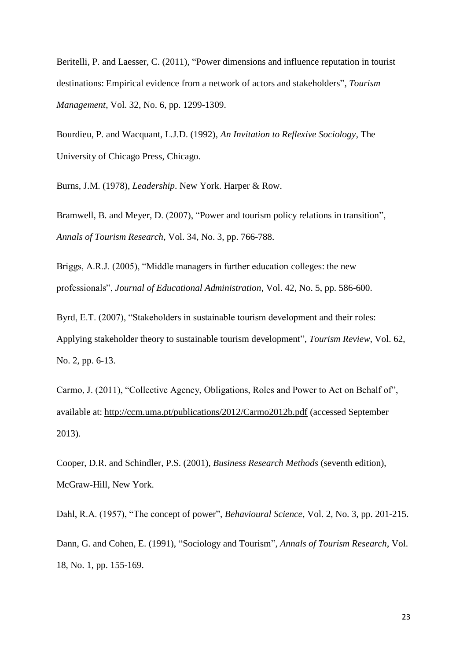Beritelli, P. and Laesser, C. (2011), "Power dimensions and influence reputation in tourist destinations: Empirical evidence from a network of actors and stakeholders", *Tourism Management*, Vol. 32, No. 6, pp. 1299-1309.

Bourdieu, P. and Wacquant, L.J.D. (1992), *An Invitation to Reflexive Sociology*, The University of Chicago Press, Chicago.

Burns, J.M. (1978), *Leadership*. New York. Harper & Row.

Bramwell, B. and Meyer, D. (2007), "Power and tourism policy relations in transition", *Annals of Tourism Research*, Vol. 34, No. 3, pp. 766-788.

Briggs, A.R.J. (2005), "Middle managers in further education colleges: the new professionals", *Journal of Educational Administration*, Vol. 42, No. 5, pp. 586-600.

Byrd, E.T. (2007), "Stakeholders in sustainable tourism development and their roles: Applying stakeholder theory to sustainable tourism development", *Tourism Review*, Vol. 62, No. 2, pp. 6-13.

Carmo, J. (2011), "Collective Agency, Obligations, Roles and Power to Act on Behalf of", available at:<http://ccm.uma.pt/publications/2012/Carmo2012b.pdf> (accessed September 2013).

Cooper, D.R. and Schindler, P.S. (2001), *Business Research Methods* (seventh edition), McGraw-Hill, New York.

Dahl, R.A. (1957), "The concept of power", *Behavioural Science*, Vol. 2, No. 3, pp. 201-215. Dann, G. and Cohen, E. (1991), "Sociology and Tourism", *Annals of Tourism Research*, Vol. 18, No. 1, pp. 155-169.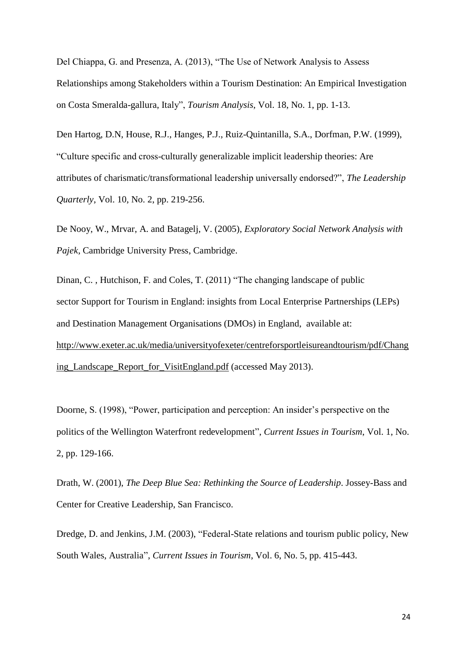Del Chiappa, G. and Presenza, A. (2013), "The Use of Network Analysis to Assess Relationships among Stakeholders within a Tourism Destination: An Empirical Investigation on Costa Smeralda-gallura, Italy", *Tourism Analysis*, Vol. 18, No. 1, pp. 1-13.

Den Hartog, D.N, House, R.J., Hanges, P.J., Ruiz-Quintanilla, S.A., Dorfman, P.W. (1999), "Culture specific and cross-culturally generalizable implicit leadership theories: Are attributes of charismatic/transformational leadership universally endorsed?", *The Leadership Quarterly*, Vol. 10, No. 2, pp. 219-256.

De Nooy, W., Mrvar, A. and Batagelj, V. (2005), *Exploratory Social Network Analysis with Pajek*, Cambridge University Press, Cambridge.

Dinan, C. , Hutchison, F. and Coles, T. (2011) "The changing landscape of public sector Support for Tourism in England: insights from Local Enterprise Partnerships (LEPs) and Destination Management Organisations (DMOs) in England, available at: [http://www.exeter.ac.uk/media/universityofexeter/centreforsportleisureandtourism/pdf/Chang](http://www.exeter.ac.uk/media/universityofexeter/centreforsportleisureandtourism/pdf/Changing_Landscape_Report_for_VisitEngland.pdf) [ing\\_Landscape\\_Report\\_for\\_VisitEngland.pdf](http://www.exeter.ac.uk/media/universityofexeter/centreforsportleisureandtourism/pdf/Changing_Landscape_Report_for_VisitEngland.pdf) (accessed May 2013).

Doorne, S. (1998), "Power, participation and perception: An insider's perspective on the politics of the Wellington Waterfront redevelopment", *Current Issues in Tourism*, Vol. 1, No. 2, pp. 129-166.

Drath, W. (2001), *The Deep Blue Sea: Rethinking the Source of Leadership*. Jossey-Bass and Center for Creative Leadership, San Francisco.

Dredge, D. and Jenkins, J.M. (2003), "Federal-State relations and tourism public policy, New South Wales, Australia", *Current Issues in Tourism*, Vol. 6, No. 5, pp. 415-443.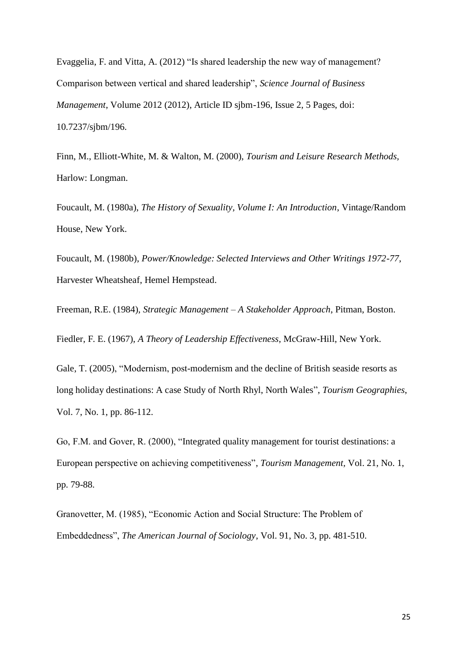Evaggelia, F. and Vitta, A. (2012) "Is shared leadership the new way of management? Comparison between vertical and shared leadership", *Science Journal of Business Management*, Volume 2012 (2012), Article ID sjbm-196, Issue 2, 5 Pages, doi: 10.7237/sjbm/196.

Finn, M., Elliott-White, M. & Walton, M. (2000), *Tourism and Leisure Research Methods,*  Harlow: Longman.

Foucault, M. (1980a), *The History of Sexuality, Volume I: An Introduction*, Vintage/Random House, New York.

Foucault, M. (1980b), *Power/Knowledge: Selected Interviews and Other Writings 1972-77*, Harvester Wheatsheaf, Hemel Hempstead.

Freeman, R.E. (1984), *Strategic Management – A Stakeholder Approach*, Pitman, Boston. Fiedler, F. E. (1967), *A Theory of Leadership Effectiveness*, McGraw-Hill, New York.

Gale, T. (2005), "Modernism, post-modernism and the decline of British seaside resorts as long holiday destinations: A case Study of North Rhyl, North Wales", *Tourism Geographies*, Vol. 7, No. 1, pp. 86-112.

Go, F.M. and Gover, R. (2000), "Integrated quality management for tourist destinations: a European perspective on achieving competitiveness", *Tourism Management,* Vol. 21, No. 1, pp. 79-88.

Granovetter, M. (1985), "Economic Action and Social Structure: The Problem of Embeddedness", *The American Journal of Sociology*, Vol. 91, No. 3, pp. 481-510.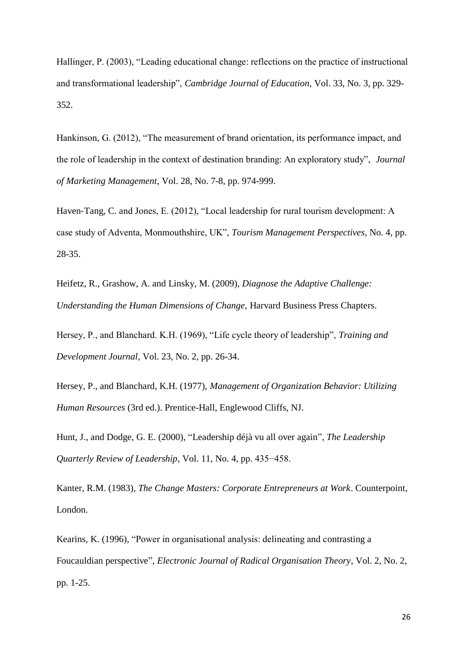Hallinger, P. (2003), "Leading educational change: reflections on the practice of instructional and transformational leadership", *Cambridge Journal of Education,* Vol. 33, No. 3, pp. 329- 352.

Hankinson, G. (2012), "The measurement of brand orientation, its performance impact, and the role of leadership in the context of destination branding: An exploratory study", *Journal of Marketing Management*, Vol. 28, No. 7-8, pp. 974-999.

Haven-Tang, C. and Jones, E. (2012), "Local leadership for rural tourism development: A case study of Adventa, Monmouthshire, UK", *Tourism Management Perspectives*, No. 4, pp. 28-35.

[Heifetz,](http://hbr.org/search/Ronald%20Heifetz/0) R., [Grashow,](http://hbr.org/search/Alexander%20Grashow/0) A. and [Linsky,](http://hbr.org/search/Marty%20Linsky/0) M. (2009), *Diagnose the Adaptive Challenge: Understanding the Human Dimensions of Change,* Harvard Business Press Chapters.

Hersey, P., and Blanchard. K.H. (1969), "Life cycle theory of leadership", *Training and Development Journal*, Vol. 23, No. 2, pp. 26-34.

Hersey, P., and Blanchard, K.H. (1977), *Management of Organization Behavior: Utilizing Human Resources* (3rd ed.). Prentice-Hall, Englewood Cliffs, NJ.

Hunt, J., and Dodge, G. E. (2000), "Leadership déjà vu all over again", *The Leadership Quarterly Review of Leadership*, Vol. 11, No. 4, pp. 435−458.

Kanter, R.M. (1983), *The Change Masters: Corporate Entrepreneurs at Work*. Counterpoint, London.

Kearins, K. (1996), "Power in organisational analysis: delineating and contrasting a Foucauldian perspective", *Electronic Journal of Radical Organisation Theory*, Vol. 2, No. 2, pp. 1-25.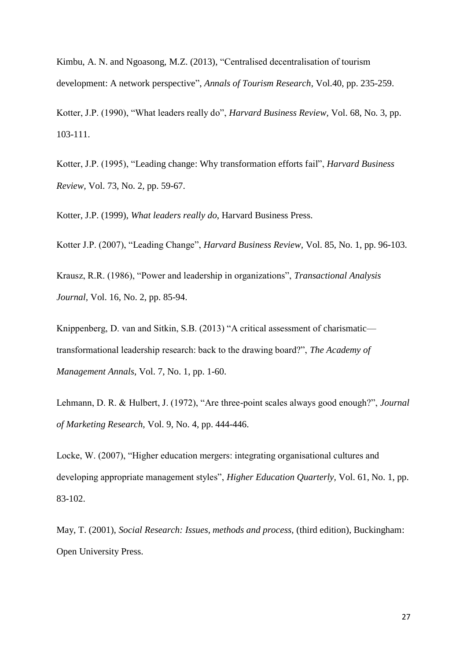Kimbu, A. N. and Ngoasong, M.Z. (2013), "Centralised decentralisation of tourism development: A network perspective", *Annals of Tourism Research*, Vol.40, pp. 235-259.

Kotter, J.P. (1990), "What leaders really do", *Harvard Business Review,* Vol. 68, No. 3, pp. 103-111.

Kotter, J.P. (1995), "Leading change: Why transformation efforts fail", *Harvard Business Review,* Vol. 73, No. 2, pp. 59-67.

Kotter, J.P. (1999), *What leaders really do*, Harvard Business Press.

Kotter J.P. (2007), "Leading Change", *Harvard Business Review,* Vol. 85, No. 1, pp. 96-103.

Krausz, R.R. (1986), "Power and leadership in organizations", *Transactional Analysis Journal,* Vol. 16, No. 2, pp. 85-94.

Knippenberg, D. van and Sitkin, S.B. (2013) "A critical assessment of charismatic transformational leadership research: back to the drawing board?", *The Academy of Management Annals*, Vol. 7, No. 1, pp. 1-60.

Lehmann, D. R. & Hulbert, J. (1972), "Are three-point scales always good enough?", *Journal of Marketing Research,* Vol. 9, No. 4, pp. 444-446.

Locke, W. (2007), "Higher education mergers: integrating organisational cultures and developing appropriate management styles", *Higher Education Quarterly,* Vol. 61, No. 1, pp. 83-102.

May, T. (2001), *Social Research: Issues, methods and process,* (third edition), Buckingham: Open University Press.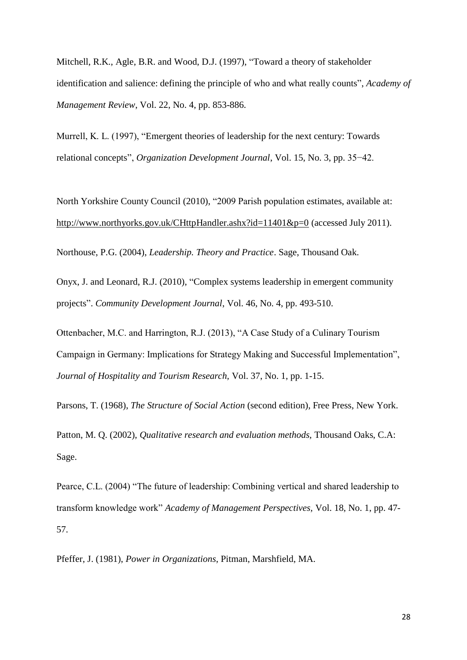Mitchell, R.K., Agle, B.R. and Wood, D.J. (1997), "Toward a theory of stakeholder identification and salience: defining the principle of who and what really counts", *Academy of Management Review*, Vol. 22, No. 4, pp. 853-886.

Murrell, K. L. (1997), "Emergent theories of leadership for the next century: Towards relational concepts", *Organization Development Journal*, Vol. 15, No. 3, pp. 35−42.

North Yorkshire County Council (2010), "2009 Parish population estimates, available at: <http://www.northyorks.gov.uk/CHttpHandler.ashx?id=11401&p=0> (accessed July 2011).

Northouse, P.G. (2004), *Leadership. Theory and Practice*. Sage, Thousand Oak.

Onyx, J. and Leonard, R.J. (2010), "Complex systems leadership in emergent community projects". *Community Development Journal*, Vol. 46, No. 4, pp. 493-510.

Ottenbacher, M.C. and Harrington, R.J. (2013), "A Case Study of a Culinary Tourism Campaign in Germany: Implications for Strategy Making and Successful Implementation", *Journal of Hospitality and Tourism Research,* Vol. 37, No. 1, pp. 1-15.

Parsons, T. (1968), *The Structure of Social Action* (second edition), Free Press, New York.

Patton, M. Q. (2002), *Qualitative research and evaluation methods,* Thousand Oaks, C.A: Sage.

Pearce, C.L. (2004) "The future of leadership: Combining vertical and shared leadership to transform knowledge work" *Academy of Management Perspectives,* Vol. 18, No. 1, pp. 47- 57.

Pfeffer, J. (1981), *Power in Organizations*, Pitman, Marshfield, MA.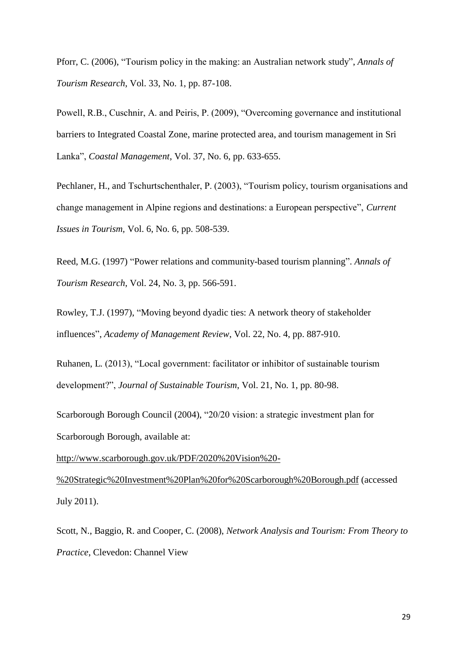Pforr, C. (2006), "Tourism policy in the making: an Australian network study", *Annals of Tourism Research*, Vol. 33, No. 1, pp. 87-108.

Powell, R.B., Cuschnir, A. and Peiris, P. (2009), "Overcoming governance and institutional barriers to Integrated Coastal Zone, marine protected area, and tourism management in Sri Lanka", *Coastal Management*, Vol. 37, No. 6, pp. 633-655.

Pechlaner, H., and Tschurtschenthaler, P. (2003), "Tourism policy, tourism organisations and change management in Alpine regions and destinations: a European perspective", *Current Issues in Tourism,* Vol. 6, No. 6, pp. 508-539.

Reed, M.G. (1997) "Power relations and community-based tourism planning". *Annals of Tourism Research*, Vol. 24, No. 3, pp. 566-591.

Rowley, T.J. (1997), "Moving beyond dyadic ties: A network theory of stakeholder influences", *Academy of Management Review*, Vol. 22, No. 4, pp. 887-910.

Ruhanen, L. (2013), "Local government: facilitator or inhibitor of sustainable tourism development?", *Journal of Sustainable Tourism*, Vol. 21, No. 1, pp. 80-98.

Scarborough Borough Council (2004), "20/20 vision: a strategic investment plan for Scarborough Borough, available at:

[http://www.scarborough.gov.uk/PDF/2020%20Vision%20-](http://www.scarborough.gov.uk/PDF/2020%20Vision%20-%20Strategic%20Investment%20Plan%20for%20Scarborough%20Borough.pdf)

[%20Strategic%20Investment%20Plan%20for%20Scarborough%20Borough.pdf](http://www.scarborough.gov.uk/PDF/2020%20Vision%20-%20Strategic%20Investment%20Plan%20for%20Scarborough%20Borough.pdf) (accessed July 2011).

Scott, N., Baggio, R. and Cooper, C. (2008), *Network Analysis and Tourism: From Theory to Practice*, Clevedon: Channel View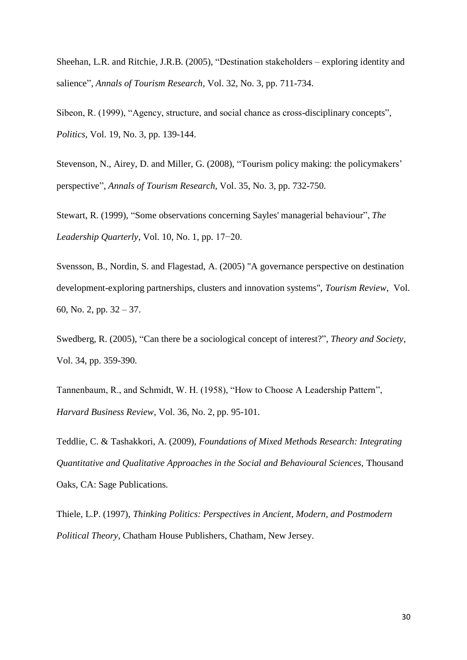Sheehan, L.R. and Ritchie, J.R.B. (2005), "Destination stakeholders – exploring identity and salience", *Annals of Tourism Research*, Vol. 32, No. 3, pp. 711-734.

Sibeon, R. (1999), "Agency, structure, and social chance as cross-disciplinary concepts", *Politics*, Vol. 19, No. 3, pp. 139-144.

Stevenson, N., Airey, D. and Miller, G. (2008), "Tourism policy making: the policymakers' perspective", *Annals of Tourism Research*, Vol. 35, No. 3, pp. 732-750.

Stewart, R. (1999), "Some observations concerning Sayles' managerial behaviour", *The Leadership Quarterly*, Vol. 10, No. 1, pp. 17−20.

Svensson, B., Nordin, S. and Flagestad, A. (2005) "A governance perspective on destination development-exploring partnerships, clusters and innovation systems", *Tourism Review*, Vol. 60, No. 2, pp. 32 – 37.

Swedberg, R. (2005), "Can there be a sociological concept of interest?", *Theory and Society*, Vol. 34, pp. 359-390.

Tannenbaum, R., and Schmidt, W. H. (1958), "How to Choose A Leadership Pattern", *Harvard Business Review*, Vol. 36, No. 2, pp. 95-101.

Teddlie, C. & Tashakkori, A. (2009), *Foundations of Mixed Methods Research: Integrating Quantitative and Qualitative Approaches in the Social and Behavioural Sciences,* Thousand Oaks, CA: Sage Publications.

Thiele, L.P. (1997), *Thinking Politics: Perspectives in Ancient, Modern, and Postmodern Political Theory*, Chatham House Publishers, Chatham, New Jersey.